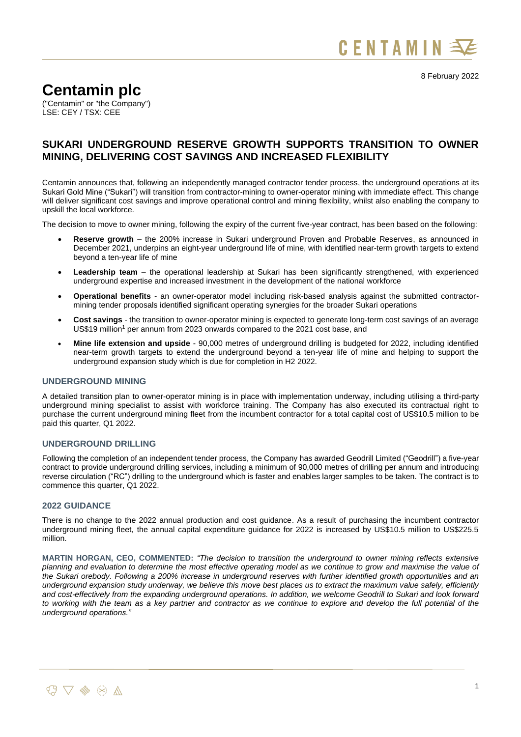

8 February 2022

# **Centamin plc**

("Centamin" or "the Company") LSE: CEY / TSX: CEE

# **SUKARI UNDERGROUND RESERVE GROWTH SUPPORTS TRANSITION TO OWNER MINING, DELIVERING COST SAVINGS AND INCREASED FLEXIBILITY**

Centamin announces that, following an independently managed contractor tender process, the underground operations at its Sukari Gold Mine ("Sukari") will transition from contractor-mining to owner-operator mining with immediate effect. This change will deliver significant cost savings and improve operational control and mining flexibility, whilst also enabling the company to upskill the local workforce.

The decision to move to owner mining, following the expiry of the current five-year contract, has been based on the following:

- **Reserve growth** the 200% increase in Sukari underground Proven and Probable Reserves, as announced in December 2021, underpins an eight-year underground life of mine, with identified near-term growth targets to extend beyond a ten-year life of mine
- **Leadership team** the operational leadership at Sukari has been significantly strengthened, with experienced underground expertise and increased investment in the development of the national workforce
- **Operational benefits** an owner-operator model including risk-based analysis against the submitted contractormining tender proposals identified significant operating synergies for the broader Sukari operations
- **Cost savings** the transition to owner-operator mining is expected to generate long-term cost savings of an average US\$19 million<sup>1</sup> per annum from 2023 onwards compared to the 2021 cost base, and
- **Mine life extension and upside** 90,000 metres of underground drilling is budgeted for 2022, including identified near-term growth targets to extend the underground beyond a ten-year life of mine and helping to support the underground expansion study which is due for completion in H2 2022.

# **UNDERGROUND MINING**

A detailed transition plan to owner-operator mining is in place with implementation underway, including utilising a third-party underground mining specialist to assist with workforce training. The Company has also executed its contractual right to purchase the current underground mining fleet from the incumbent contractor for a total capital cost of US\$10.5 million to be paid this quarter, Q1 2022.

## **UNDERGROUND DRILLING**

Following the completion of an independent tender process, the Company has awarded Geodrill Limited ("Geodrill") a five-year contract to provide underground drilling services, including a minimum of 90,000 metres of drilling per annum and introducing reverse circulation ("RC") drilling to the underground which is faster and enables larger samples to be taken. The contract is to commence this quarter, Q1 2022.

#### **2022 GUIDANCE**

There is no change to the 2022 annual production and cost guidance. As a result of purchasing the incumbent contractor underground mining fleet, the annual capital expenditure guidance for 2022 is increased by US\$10.5 million to US\$225.5 million.

**MARTIN HORGAN, CEO, COMMENTED:** *"The decision to transition the underground to owner mining reflects extensive planning and evaluation to determine the most effective operating model as we continue to grow and maximise the value of the Sukari orebody. Following a 200% increase in underground reserves with further identified growth opportunities and an underground expansion study underway, we believe this move best places us to extract the maximum value safely, efficiently and cost-effectively from the expanding underground operations. In addition, we welcome Geodrill to Sukari and look forward to working with the team as a key partner and contractor as we continue to explore and develop the full potential of the underground operations."*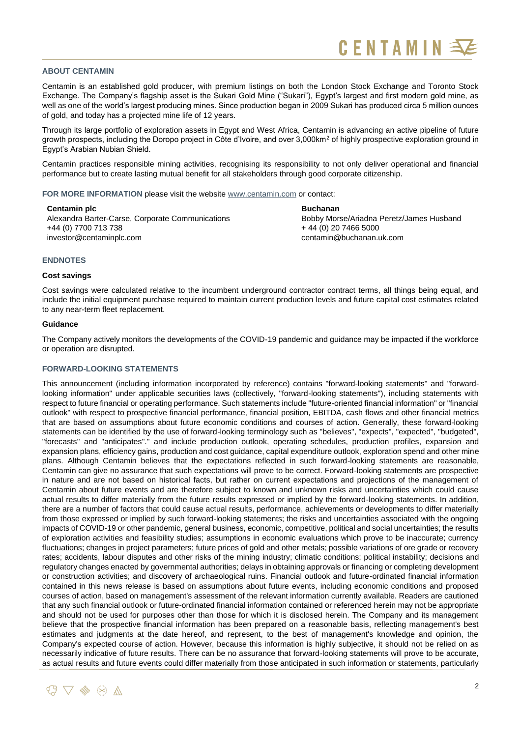### **ABOUT CENTAMIN**

Centamin is an established gold producer, with premium listings on both the London Stock Exchange and Toronto Stock Exchange. The Company's flagship asset is the Sukari Gold Mine ("Sukari"), Egypt's largest and first modern gold mine, as well as one of the world's largest producing mines. Since production began in 2009 Sukari has produced circa 5 million ounces of gold, and today has a projected mine life of 12 years.

Through its large portfolio of exploration assets in Egypt and West Africa, Centamin is advancing an active pipeline of future growth prospects, including the Doropo project in Côte d'Ivoire, and over 3,000km<sup>2</sup> of highly prospective exploration ground in Egypt's Arabian Nubian Shield.

Centamin practices responsible mining activities, recognising its responsibility to not only deliver operational and financial performance but to create lasting mutual benefit for all stakeholders through good corporate citizenship.

**FOR MORE INFORMATION** please visit the website [www.centamin.com](http://www.centamin.com/) or contact:

**Centamin plc**  Alexandra Barter-Carse, Corporate Communications +44 (0) 7700 713 738 [investor@centaminplc.com](mailto:investor@centaminplc.com)

**Buchanan** Bobby Morse/Ariadna Peretz/James Husband + 44 (0) 20 7466 5000 [centamin@buchanan.uk.com](mailto:centamin@buchanan.uk.com)

#### **ENDNOTES**

#### **Cost savings**

Cost savings were calculated relative to the incumbent underground contractor contract terms, all things being equal, and include the initial equipment purchase required to maintain current production levels and future capital cost estimates related to any near-term fleet replacement.

### **Guidance**

The Company actively monitors the developments of the COVID-19 pandemic and guidance may be impacted if the workforce or operation are disrupted.

#### **FORWARD-LOOKING STATEMENTS**

This announcement (including information incorporated by reference) contains "forward-looking statements" and "forwardlooking information" under applicable securities laws (collectively, "forward-looking statements"), including statements with respect to future financial or operating performance. Such statements include "future-oriented financial information" or "financial outlook" with respect to prospective financial performance, financial position, EBITDA, cash flows and other financial metrics that are based on assumptions about future economic conditions and courses of action. Generally, these forward-looking statements can be identified by the use of forward-looking terminology such as "believes", "expects", "expected", "budgeted", "forecasts" and "anticipates"." and include production outlook, operating schedules, production profiles, expansion and expansion plans, efficiency gains, production and cost guidance, capital expenditure outlook, exploration spend and other mine plans. Although Centamin believes that the expectations reflected in such forward-looking statements are reasonable, Centamin can give no assurance that such expectations will prove to be correct. Forward-looking statements are prospective in nature and are not based on historical facts, but rather on current expectations and projections of the management of Centamin about future events and are therefore subject to known and unknown risks and uncertainties which could cause actual results to differ materially from the future results expressed or implied by the forward-looking statements. In addition, there are a number of factors that could cause actual results, performance, achievements or developments to differ materially from those expressed or implied by such forward-looking statements; the risks and uncertainties associated with the ongoing impacts of COVID-19 or other pandemic, general business, economic, competitive, political and social uncertainties; the results of exploration activities and feasibility studies; assumptions in economic evaluations which prove to be inaccurate; currency fluctuations; changes in project parameters; future prices of gold and other metals; possible variations of ore grade or recovery rates; accidents, labour disputes and other risks of the mining industry; climatic conditions; political instability; decisions and regulatory changes enacted by governmental authorities; delays in obtaining approvals or financing or completing development or construction activities; and discovery of archaeological ruins. Financial outlook and future-ordinated financial information contained in this news release is based on assumptions about future events, including economic conditions and proposed courses of action, based on management's assessment of the relevant information currently available. Readers are cautioned that any such financial outlook or future-ordinated financial information contained or referenced herein may not be appropriate and should not be used for purposes other than those for which it is disclosed herein. The Company and its management believe that the prospective financial information has been prepared on a reasonable basis, reflecting management's best estimates and judgments at the date hereof, and represent, to the best of management's knowledge and opinion, the Company's expected course of action. However, because this information is highly subjective, it should not be relied on as necessarily indicative of future results. There can be no assurance that forward-looking statements will prove to be accurate, as actual results and future events could differ materially from those anticipated in such information or statements, particularly